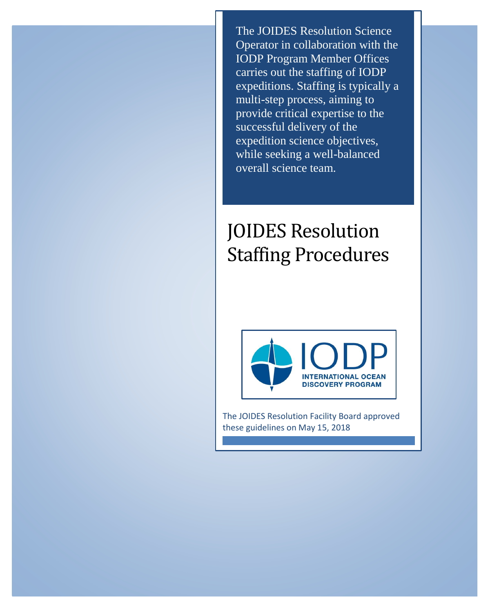The JOIDES Resolution Science Operator in collaboration with the IODP Program Member Offices carries out the staffing of IODP expeditions. Staffing is typically a multi-step process, aiming to provide critical expertise to the successful delivery of the expedition science objectives, while seeking a well-balanced overall science team.

# JOIDES Resolution Staffing Procedures



The JOIDES Resolution Facility Board approved these guidelines on May 15, 2018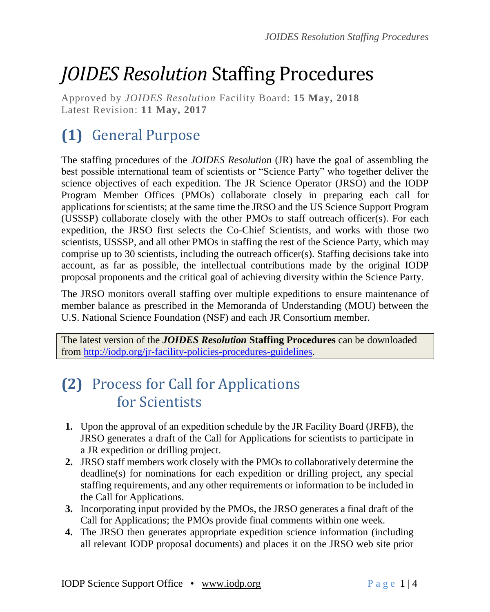# *JOIDES Resolution* Staffing Procedures

Approved by *JOIDES Resolution* Facility Board: **15 May, 2018** Latest Revision: **11 May, 2017**

# **(1)** General Purpose

The staffing procedures of the *JOIDES Resolution* (JR) have the goal of assembling the best possible international team of scientists or "Science Party" who together deliver the science objectives of each expedition. The JR Science Operator (JRSO) and the IODP Program Member Offices (PMOs) collaborate closely in preparing each call for applications for scientists; at the same time the JRSO and the US Science Support Program (USSSP) collaborate closely with the other PMOs to staff outreach officer(s). For each expedition, the JRSO first selects the Co-Chief Scientists, and works with those two scientists, USSSP, and all other PMOs in staffing the rest of the Science Party, which may comprise up to 30 scientists, including the outreach officer(s). Staffing decisions take into account, as far as possible, the intellectual contributions made by the original IODP proposal proponents and the critical goal of achieving diversity within the Science Party.

The JRSO monitors overall staffing over multiple expeditions to ensure maintenance of member balance as prescribed in the Memoranda of Understanding (MOU) between the U.S. National Science Foundation (NSF) and each JR Consortium member.

The latest version of the *JOIDES Resolution* **Staffing Procedures** can be downloaded from [http://iodp.org/jr-facility-policies-procedures-guidelines.](http://iodp.org/jr-facility-policies-procedures-guidelines)

## **(2)** Process for Call for Applications for Scientists

- **1.** Upon the approval of an expedition schedule by the JR Facility Board (JRFB), the JRSO generates a draft of the Call for Applications for scientists to participate in a JR expedition or drilling project.
- **2.** JRSO staff members work closely with the PMOs to collaboratively determine the deadline(s) for nominations for each expedition or drilling project, any special staffing requirements, and any other requirements or information to be included in the Call for Applications.
- **3.** Incorporating input provided by the PMOs, the JRSO generates a final draft of the Call for Applications; the PMOs provide final comments within one week.
- **4.** The JRSO then generates appropriate expedition science information (including all relevant IODP proposal documents) and places it on the JRSO web site prior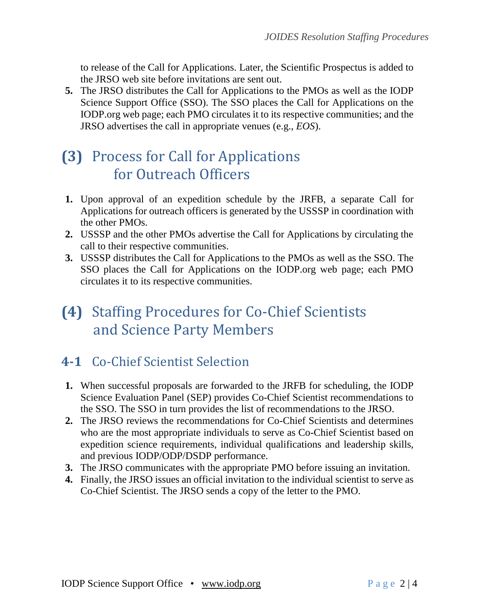to release of the Call for Applications. Later, the Scientific Prospectus is added to the JRSO web site before invitations are sent out.

**5.** The JRSO distributes the Call for Applications to the PMOs as well as the IODP Science Support Office (SSO). The SSO places the Call for Applications on the IODP.org web page; each PMO circulates it to its respective communities; and the JRSO advertises the call in appropriate venues (e.g., *EOS*).

## **(3)** Process for Call for Applications for Outreach Officers

- **1.** Upon approval of an expedition schedule by the JRFB, a separate Call for Applications for outreach officers is generated by the USSSP in coordination with the other PMOs.
- **2.** USSSP and the other PMOs advertise the Call for Applications by circulating the call to their respective communities.
- **3.** USSSP distributes the Call for Applications to the PMOs as well as the SSO. The SSO places the Call for Applications on the IODP.org web page; each PMO circulates it to its respective communities.

## **(4)** Staffing Procedures for Co-Chief Scientists and Science Party Members

#### **4-1** Co-Chief Scientist Selection

- **1.** When successful proposals are forwarded to the JRFB for scheduling, the IODP Science Evaluation Panel (SEP) provides Co-Chief Scientist recommendations to the SSO. The SSO in turn provides the list of recommendations to the JRSO.
- **2.** The JRSO reviews the recommendations for Co-Chief Scientists and determines who are the most appropriate individuals to serve as Co-Chief Scientist based on expedition science requirements, individual qualifications and leadership skills, and previous IODP/ODP/DSDP performance.
- **3.** The JRSO communicates with the appropriate PMO before issuing an invitation.
- **4.** Finally, the JRSO issues an official invitation to the individual scientist to serve as Co-Chief Scientist. The JRSO sends a copy of the letter to the PMO.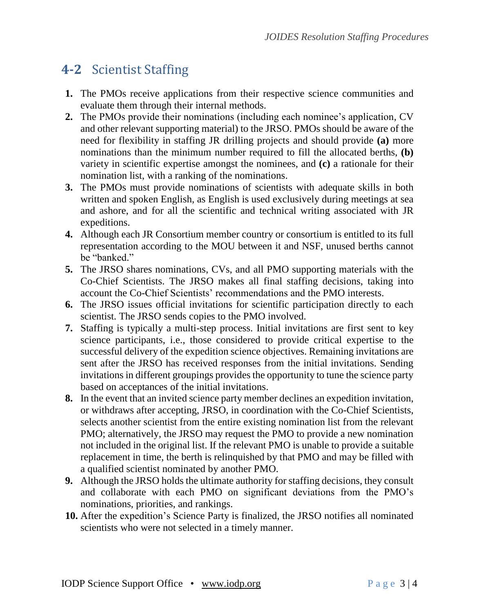#### **4-2** Scientist Staffing

- **1.** The PMOs receive applications from their respective science communities and evaluate them through their internal methods.
- **2.** The PMOs provide their nominations (including each nominee's application, CV and other relevant supporting material) to the JRSO. PMOs should be aware of the need for flexibility in staffing JR drilling projects and should provide **(a)** more nominations than the minimum number required to fill the allocated berths, **(b)** variety in scientific expertise amongst the nominees, and **(c)** a rationale for their nomination list, with a ranking of the nominations.
- **3.** The PMOs must provide nominations of scientists with adequate skills in both written and spoken English, as English is used exclusively during meetings at sea and ashore, and for all the scientific and technical writing associated with JR expeditions.
- **4.** Although each JR Consortium member country or consortium is entitled to its full representation according to the MOU between it and NSF, unused berths cannot be "banked."
- **5.** The JRSO shares nominations, CVs, and all PMO supporting materials with the Co-Chief Scientists. The JRSO makes all final staffing decisions, taking into account the Co-Chief Scientists' recommendations and the PMO interests.
- **6.** The JRSO issues official invitations for scientific participation directly to each scientist. The JRSO sends copies to the PMO involved.
- **7.** Staffing is typically a multi-step process. Initial invitations are first sent to key science participants, i.e., those considered to provide critical expertise to the successful delivery of the expedition science objectives. Remaining invitations are sent after the JRSO has received responses from the initial invitations. Sending invitations in different groupings provides the opportunity to tune the science party based on acceptances of the initial invitations.
- **8.** In the event that an invited science party member declines an expedition invitation, or withdraws after accepting, JRSO, in coordination with the Co-Chief Scientists, selects another scientist from the entire existing nomination list from the relevant PMO; alternatively, the JRSO may request the PMO to provide a new nomination not included in the original list. If the relevant PMO is unable to provide a suitable replacement in time, the berth is relinquished by that PMO and may be filled with a qualified scientist nominated by another PMO.
- **9.** Although the JRSO holds the ultimate authority for staffing decisions, they consult and collaborate with each PMO on significant deviations from the PMO's nominations, priorities, and rankings.
- **10.** After the expedition's Science Party is finalized, the JRSO notifies all nominated scientists who were not selected in a timely manner.